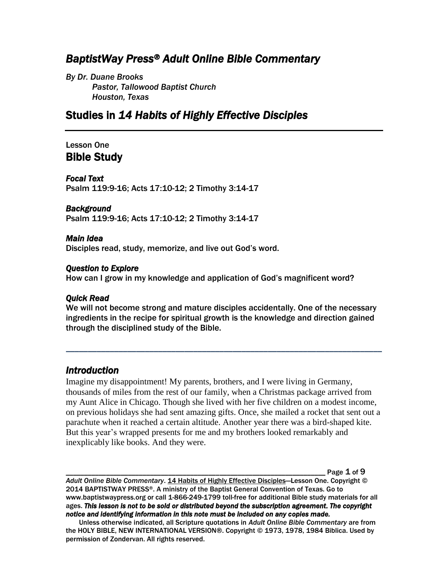# *BaptistWay Press® Adult Online Bible Commentary*

*By Dr. Duane Brooks Pastor, Tallowood Baptist Church Houston, Texas*

## Studies in *14 Habits of Highly Effective Disciples*

### Lesson One Bible Study

#### *Focal Text*

Psalm 119:9-16; Acts 17:10-12; 2 Timothy 3:14-17

#### *Background*

Psalm 119:9-16; Acts 17:10-12; 2 Timothy 3:14-17

#### *Main Idea*

Disciples read, study, memorize, and live out God's word.

#### *Question to Explore*

How can I grow in my knowledge and application of God's magnificent word?

#### *Quick Read*

We will not become strong and mature disciples accidentally. One of the necessary ingredients in the recipe for spiritual growth is the knowledge and direction gained through the disciplined study of the Bible.

*\_\_\_\_\_\_\_\_\_\_\_\_\_\_\_\_\_\_\_\_\_\_\_\_\_\_\_\_\_\_\_\_\_\_\_\_\_\_\_\_\_\_\_\_\_\_\_\_\_\_\_\_\_\_\_\_\_\_\_\_\_\_\_\_\_\_\_\_\_\_\_\_*

## *Introduction*

Imagine my disappointment! My parents, brothers, and I were living in Germany, thousands of miles from the rest of our family, when a Christmas package arrived from my Aunt Alice in Chicago. Though she lived with her five children on a modest income, on previous holidays she had sent amazing gifts. Once, she mailed a rocket that sent out a parachute when it reached a certain altitude. Another year there was a bird-shaped kite. But this year's wrapped presents for me and my brothers looked remarkably and inexplicably like books. And they were.

Page  $1$  of  $9$ 

*Adult Online Bible Commentary*. 14 Habits of Highly Effective Disciples—Lesson One. Copyright © 2014 BAPTISTWAY PRESS®. A ministry of the Baptist General Convention of Texas. Go to www.baptistwaypress.org or call 1-866-249-1799 toll-free for additional Bible study materials for all ages. *This lesson is not to be sold or distributed beyond the subscription agreement. The copyright notice and identifying information in this note must be included on any copies made.* 

Unless otherwise indicated, all Scripture quotations in *Adult Online Bible Commentary* are from the HOLY BIBLE, NEW INTERNATIONAL VERSION®. Copyright © 1973, 1978, 1984 Biblica. Used by permission of Zondervan. All rights reserved.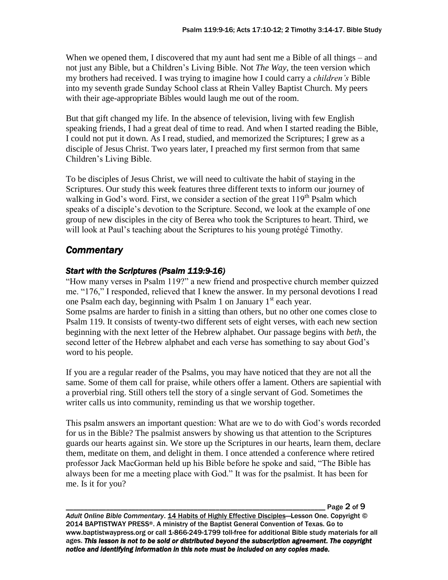When we opened them, I discovered that my aunt had sent me a Bible of all things – and not just any Bible, but a Children's Living Bible. Not *The Way*, the teen version which my brothers had received. I was trying to imagine how I could carry a *children's* Bible into my seventh grade Sunday School class at Rhein Valley Baptist Church. My peers with their age-appropriate Bibles would laugh me out of the room.

But that gift changed my life. In the absence of television, living with few English speaking friends, I had a great deal of time to read. And when I started reading the Bible, I could not put it down. As I read, studied, and memorized the Scriptures; I grew as a disciple of Jesus Christ. Two years later, I preached my first sermon from that same Children's Living Bible.

To be disciples of Jesus Christ, we will need to cultivate the habit of staying in the Scriptures. Our study this week features three different texts to inform our journey of walking in God's word. First, we consider a section of the great  $119<sup>th</sup>$  Psalm which speaks of a disciple's devotion to the Scripture. Second, we look at the example of one group of new disciples in the city of Berea who took the Scriptures to heart. Third, we will look at Paul's teaching about the Scriptures to his young protégé Timothy.

## *Commentary*

### *Start with the Scriptures (Psalm 119:9-16)*

"How many verses in Psalm 119?" a new friend and prospective church member quizzed me. "176," I responded, relieved that I knew the answer. In my personal devotions I read one Psalm each day, beginning with Psalm 1 on January  $1<sup>st</sup>$  each year.

Some psalms are harder to finish in a sitting than others, but no other one comes close to Psalm 119. It consists of twenty-two different sets of eight verses, with each new section beginning with the next letter of the Hebrew alphabet. Our passage begins with *beth*, the second letter of the Hebrew alphabet and each verse has something to say about God's word to his people.

If you are a regular reader of the Psalms, you may have noticed that they are not all the same. Some of them call for praise, while others offer a lament. Others are sapiential with a proverbial ring. Still others tell the story of a single servant of God. Sometimes the writer calls us into community, reminding us that we worship together.

This psalm answers an important question: What are we to do with God's words recorded for us in the Bible? The psalmist answers by showing us that attention to the Scriptures guards our hearts against sin. We store up the Scriptures in our hearts, learn them, declare them, meditate on them, and delight in them. I once attended a conference where retired professor Jack MacGorman held up his Bible before he spoke and said, "The Bible has always been for me a meeting place with God." It was for the psalmist. It has been for me. Is it for you?

Page  $2$  of  $9$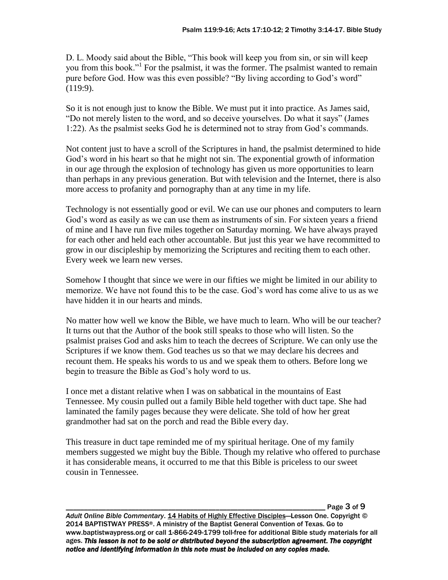D. L. Moody said about the Bible, "This book will keep you from sin, or sin will keep you from this book."<sup>1</sup> For the psalmist, it was the former. The psalmist wanted to remain pure before God. How was this even possible? "By living according to God's word" (119:9).

So it is not enough just to know the Bible. We must put it into practice. As James said, "Do not merely listen to the word, and so deceive yourselves. Do what it says" (James 1:22). As the psalmist seeks God he is determined not to stray from God's commands.

Not content just to have a scroll of the Scriptures in hand, the psalmist determined to hide God's word in his heart so that he might not sin. The exponential growth of information in our age through the explosion of technology has given us more opportunities to learn than perhaps in any previous generation. But with television and the Internet, there is also more access to profanity and pornography than at any time in my life.

Technology is not essentially good or evil. We can use our phones and computers to learn God's word as easily as we can use them as instruments of sin. For sixteen years a friend of mine and I have run five miles together on Saturday morning. We have always prayed for each other and held each other accountable. But just this year we have recommitted to grow in our discipleship by memorizing the Scriptures and reciting them to each other. Every week we learn new verses.

Somehow I thought that since we were in our fifties we might be limited in our ability to memorize. We have not found this to be the case. God's word has come alive to us as we have hidden it in our hearts and minds.

No matter how well we know the Bible, we have much to learn. Who will be our teacher? It turns out that the Author of the book still speaks to those who will listen. So the psalmist praises God and asks him to teach the decrees of Scripture. We can only use the Scriptures if we know them. God teaches us so that we may declare his decrees and recount them. He speaks his words to us and we speak them to others. Before long we begin to treasure the Bible as God's holy word to us.

I once met a distant relative when I was on sabbatical in the mountains of East Tennessee. My cousin pulled out a family Bible held together with duct tape. She had laminated the family pages because they were delicate. She told of how her great grandmother had sat on the porch and read the Bible every day.

This treasure in duct tape reminded me of my spiritual heritage. One of my family members suggested we might buy the Bible. Though my relative who offered to purchase it has considerable means, it occurred to me that this Bible is priceless to our sweet cousin in Tennessee.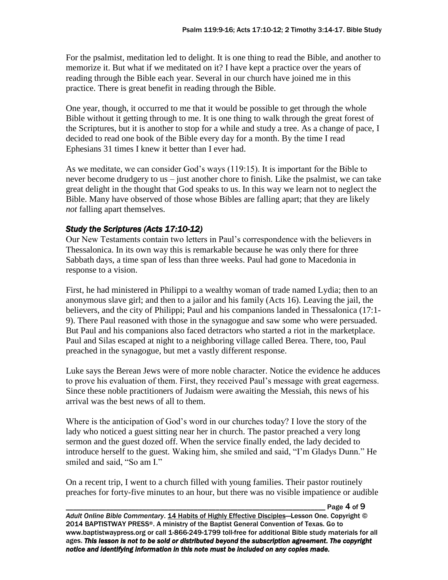For the psalmist, meditation led to delight. It is one thing to read the Bible, and another to memorize it. But what if we meditated on it? I have kept a practice over the years of reading through the Bible each year. Several in our church have joined me in this practice. There is great benefit in reading through the Bible.

One year, though, it occurred to me that it would be possible to get through the whole Bible without it getting through to me. It is one thing to walk through the great forest of the Scriptures, but it is another to stop for a while and study a tree. As a change of pace, I decided to read one book of the Bible every day for a month. By the time I read Ephesians 31 times I knew it better than I ever had.

As we meditate, we can consider God's ways (119:15). It is important for the Bible to never become drudgery to us – just another chore to finish. Like the psalmist, we can take great delight in the thought that God speaks to us. In this way we learn not to neglect the Bible. Many have observed of those whose Bibles are falling apart; that they are likely *not* falling apart themselves.

### *Study the Scriptures (Acts 17:10-12)*

Our New Testaments contain two letters in Paul's correspondence with the believers in Thessalonica. In its own way this is remarkable because he was only there for three Sabbath days, a time span of less than three weeks. Paul had gone to Macedonia in response to a vision.

First, he had ministered in Philippi to a wealthy woman of trade named Lydia; then to an anonymous slave girl; and then to a jailor and his family (Acts 16). Leaving the jail, the believers, and the city of Philippi; Paul and his companions landed in Thessalonica (17:1- 9). There Paul reasoned with those in the synagogue and saw some who were persuaded. But Paul and his companions also faced detractors who started a riot in the marketplace. Paul and Silas escaped at night to a neighboring village called Berea. There, too, Paul preached in the synagogue, but met a vastly different response.

Luke says the Berean Jews were of more noble character. Notice the evidence he adduces to prove his evaluation of them. First, they received Paul's message with great eagerness. Since these noble practitioners of Judaism were awaiting the Messiah, this news of his arrival was the best news of all to them.

Where is the anticipation of God's word in our churches today? I love the story of the lady who noticed a guest sitting near her in church. The pastor preached a very long sermon and the guest dozed off. When the service finally ended, the lady decided to introduce herself to the guest. Waking him, she smiled and said, "I'm Gladys Dunn." He smiled and said, "So am I."

On a recent trip, I went to a church filled with young families. Their pastor routinely preaches for forty-five minutes to an hour, but there was no visible impatience or audible

Page  $4$  of  $9$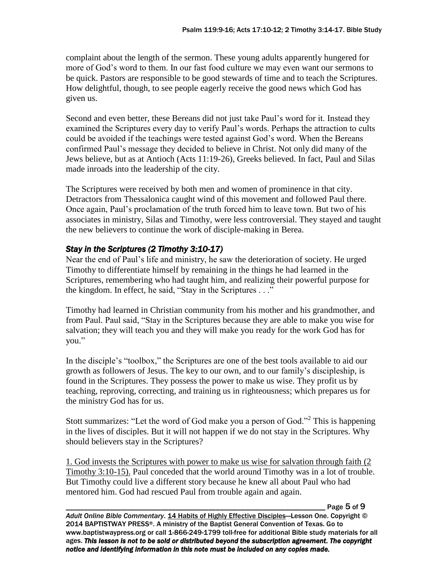complaint about the length of the sermon. These young adults apparently hungered for more of God's word to them. In our fast food culture we may even want our sermons to be quick. Pastors are responsible to be good stewards of time and to teach the Scriptures. How delightful, though, to see people eagerly receive the good news which God has given us.

Second and even better, these Bereans did not just take Paul's word for it. Instead they examined the Scriptures every day to verify Paul's words. Perhaps the attraction to cults could be avoided if the teachings were tested against God's word. When the Bereans confirmed Paul's message they decided to believe in Christ. Not only did many of the Jews believe, but as at Antioch (Acts 11:19-26), Greeks believed. In fact, Paul and Silas made inroads into the leadership of the city.

The Scriptures were received by both men and women of prominence in that city. Detractors from Thessalonica caught wind of this movement and followed Paul there. Once again, Paul's proclamation of the truth forced him to leave town. But two of his associates in ministry, Silas and Timothy, were less controversial. They stayed and taught the new believers to continue the work of disciple-making in Berea.

## *Stay in the Scriptures (2 Timothy 3:10-17)*

Near the end of Paul's life and ministry, he saw the deterioration of society. He urged Timothy to differentiate himself by remaining in the things he had learned in the Scriptures, remembering who had taught him, and realizing their powerful purpose for the kingdom. In effect, he said, "Stay in the Scriptures . . ."

Timothy had learned in Christian community from his mother and his grandmother, and from Paul. Paul said, "Stay in the Scriptures because they are able to make you wise for salvation; they will teach you and they will make you ready for the work God has for you."

In the disciple's "toolbox," the Scriptures are one of the best tools available to aid our growth as followers of Jesus. The key to our own, and to our family's discipleship, is found in the Scriptures. They possess the power to make us wise. They profit us by teaching, reproving, correcting, and training us in righteousness; which prepares us for the ministry God has for us.

Stott summarizes: "Let the word of God make you a person of God."<sup>2</sup> This is happening in the lives of disciples. But it will not happen if we do not stay in the Scriptures. Why should believers stay in the Scriptures?

1. God invests the Scriptures with power to make us wise for salvation through faith (2 Timothy 3:10-15). Paul conceded that the world around Timothy was in a lot of trouble. But Timothy could live a different story because he knew all about Paul who had mentored him. God had rescued Paul from trouble again and again.

Page 5 of 9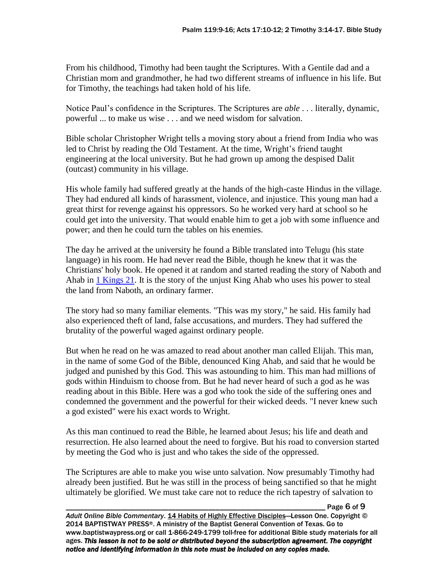From his childhood, Timothy had been taught the Scriptures. With a Gentile dad and a Christian mom and grandmother, he had two different streams of influence in his life. But for Timothy, the teachings had taken hold of his life.

Notice Paul's confidence in the Scriptures. The Scriptures are *able* . . . literally, dynamic, powerful ... to make us wise . . . and we need wisdom for salvation.

Bible scholar Christopher Wright tells a moving story about a friend from India who was led to Christ by reading the Old Testament. At the time, Wright's friend taught engineering at the local university. But he had grown up among the despised Dalit (outcast) community in his village.

His whole family had suffered greatly at the hands of the high-caste Hindus in the village. They had endured all kinds of harassment, violence, and injustice. This young man had a great thirst for revenge against his oppressors. So he worked very hard at school so he could get into the university. That would enable him to get a job with some influence and power; and then he could turn the tables on his enemies.

The day he arrived at the university he found a Bible translated into Telugu (his state language) in his room. He had never read the Bible, though he knew that it was the Christians' holy book. He opened it at random and started reading the story of Naboth and Ahab in [1 Kings 21.](javascript:linkToScripture() It is the story of the unjust King Ahab who uses his power to steal the land from Naboth, an ordinary farmer.

The story had so many familiar elements. "This was my story," he said. His family had also experienced theft of land, false accusations, and murders. They had suffered the brutality of the powerful waged against ordinary people.

But when he read on he was amazed to read about another man called Elijah. This man, in the name of some God of the Bible, denounced King Ahab, and said that he would be judged and punished by this God. This was astounding to him. This man had millions of gods within Hinduism to choose from. But he had never heard of such a god as he was reading about in this Bible. Here was a god who took the side of the suffering ones and condemned the government and the powerful for their wicked deeds. "I never knew such a god existed" were his exact words to Wright.

As this man continued to read the Bible, he learned about Jesus; his life and death and resurrection. He also learned about the need to forgive. But his road to conversion started by meeting the God who is just and who takes the side of the oppressed.

The Scriptures are able to make you wise unto salvation. Now presumably Timothy had already been justified. But he was still in the process of being sanctified so that he might ultimately be glorified. We must take care not to reduce the rich tapestry of salvation to

Page 6 of 9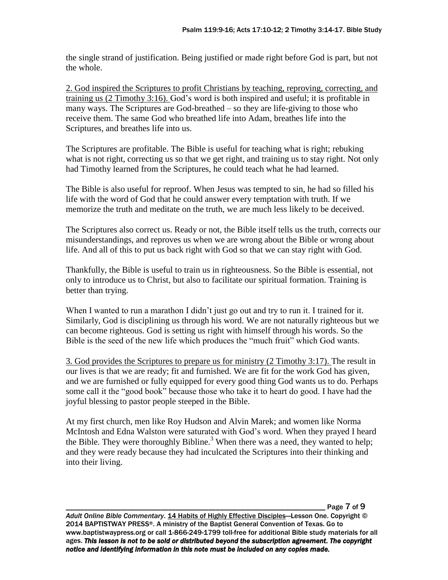the single strand of justification. Being justified or made right before God is part, but not the whole.

2. God inspired the Scriptures to profit Christians by teaching, reproving, correcting, and training us (2 Timothy 3:16). God's word is both inspired and useful; it is profitable in many ways. The Scriptures are God-breathed – so they are life-giving to those who receive them. The same God who breathed life into Adam, breathes life into the Scriptures, and breathes life into us.

The Scriptures are profitable. The Bible is useful for teaching what is right; rebuking what is not right, correcting us so that we get right, and training us to stay right. Not only had Timothy learned from the Scriptures, he could teach what he had learned.

The Bible is also useful for reproof. When Jesus was tempted to sin, he had so filled his life with the word of God that he could answer every temptation with truth. If we memorize the truth and meditate on the truth, we are much less likely to be deceived.

The Scriptures also correct us. Ready or not, the Bible itself tells us the truth, corrects our misunderstandings, and reproves us when we are wrong about the Bible or wrong about life. And all of this to put us back right with God so that we can stay right with God.

Thankfully, the Bible is useful to train us in righteousness. So the Bible is essential, not only to introduce us to Christ, but also to facilitate our spiritual formation. Training is better than trying.

When I wanted to run a marathon I didn't just go out and try to run it. I trained for it. Similarly, God is disciplining us through his word. We are not naturally righteous but we can become righteous. God is setting us right with himself through his words. So the Bible is the seed of the new life which produces the "much fruit" which God wants.

3. God provides the Scriptures to prepare us for ministry (2 Timothy 3:17). The result in our lives is that we are ready; fit and furnished. We are fit for the work God has given, and we are furnished or fully equipped for every good thing God wants us to do. Perhaps some call it the "good book" because those who take it to heart do good. I have had the joyful blessing to pastor people steeped in the Bible.

At my first church, men like Roy Hudson and Alvin Marek; and women like Norma McIntosh and Edna Walston were saturated with God's word. When they prayed I heard the Bible. They were thoroughly Bibline.<sup>3</sup> When there was a need, they wanted to help; and they were ready because they had inculcated the Scriptures into their thinking and into their living.

\_\_\_\_\_\_\_\_\_\_\_\_\_\_\_\_\_\_\_\_\_\_\_\_\_\_\_\_\_\_\_\_\_\_\_\_\_\_\_\_\_\_\_\_\_\_\_\_\_\_\_\_\_\_\_\_\_\_\_\_\_\_\_\_\_\_\_\_\_\_\_ Page 7 of 9

*Adult Online Bible Commentary*. 14 Habits of Highly Effective Disciples—Lesson One. Copyright © 2014 BAPTISTWAY PRESS®. A ministry of the Baptist General Convention of Texas. Go to www.baptistwaypress.org or call 1-866-249-1799 toll-free for additional Bible study materials for all ages. *This lesson is not to be sold or distributed beyond the subscription agreement. The copyright notice and identifying information in this note must be included on any copies made.*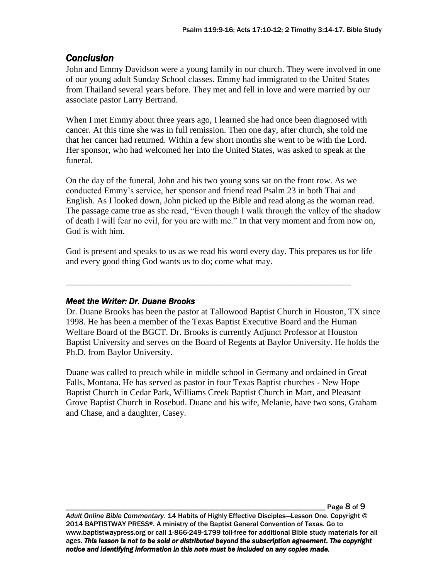## *Conclusion*

John and Emmy Davidson were a young family in our church. They were involved in one of our young adult Sunday School classes. Emmy had immigrated to the United States from Thailand several years before. They met and fell in love and were married by our associate pastor Larry Bertrand.

When I met Emmy about three years ago, I learned she had once been diagnosed with cancer. At this time she was in full remission. Then one day, after church, she told me that her cancer had returned. Within a few short months she went to be with the Lord. Her sponsor, who had welcomed her into the United States, was asked to speak at the funeral.

On the day of the funeral, John and his two young sons sat on the front row. As we conducted Emmy's service, her sponsor and friend read Psalm 23 in both Thai and English. As I looked down, John picked up the Bible and read along as the woman read. The passage came true as she read, "Even though I walk through the valley of the shadow of death I will fear no evil, for you are with me." In that very moment and from now on, God is with him.

God is present and speaks to us as we read his word every day. This prepares us for life and every good thing God wants us to do; come what may.

\_\_\_\_\_\_\_\_\_\_\_\_\_\_\_\_\_\_\_\_\_\_\_\_\_\_\_\_\_\_\_\_\_\_\_\_\_\_\_\_\_\_\_\_\_\_\_\_\_\_\_\_\_\_\_\_\_\_\_\_\_\_\_\_\_

## *Meet the Writer: Dr. Duane Brooks*

Dr. Duane Brooks has been the pastor at Tallowood Baptist Church in Houston, TX since 1998. He has been a member of the Texas Baptist Executive Board and the Human Welfare Board of the BGCT. Dr. Brooks is currently Adjunct Professor at Houston Baptist University and serves on the Board of Regents at Baylor University. He holds the Ph.D. from Baylor University.

Duane was called to preach while in middle school in Germany and ordained in Great Falls, Montana. He has served as pastor in four Texas Baptist churches - New Hope Baptist Church in Cedar Park, Williams Creek Baptist Church in Mart, and Pleasant Grove Baptist Church in Rosebud. Duane and his wife, Melanie, have two sons, Graham and Chase, and a daughter, Casey.

\_\_\_\_\_\_\_\_\_\_\_\_\_\_\_\_\_\_\_\_\_\_\_\_\_\_\_\_\_\_\_\_\_\_\_\_\_\_\_\_\_\_\_\_\_\_\_\_\_\_\_\_\_\_\_\_\_\_\_\_\_\_\_\_\_\_\_\_\_\_\_ Page 8 of 9